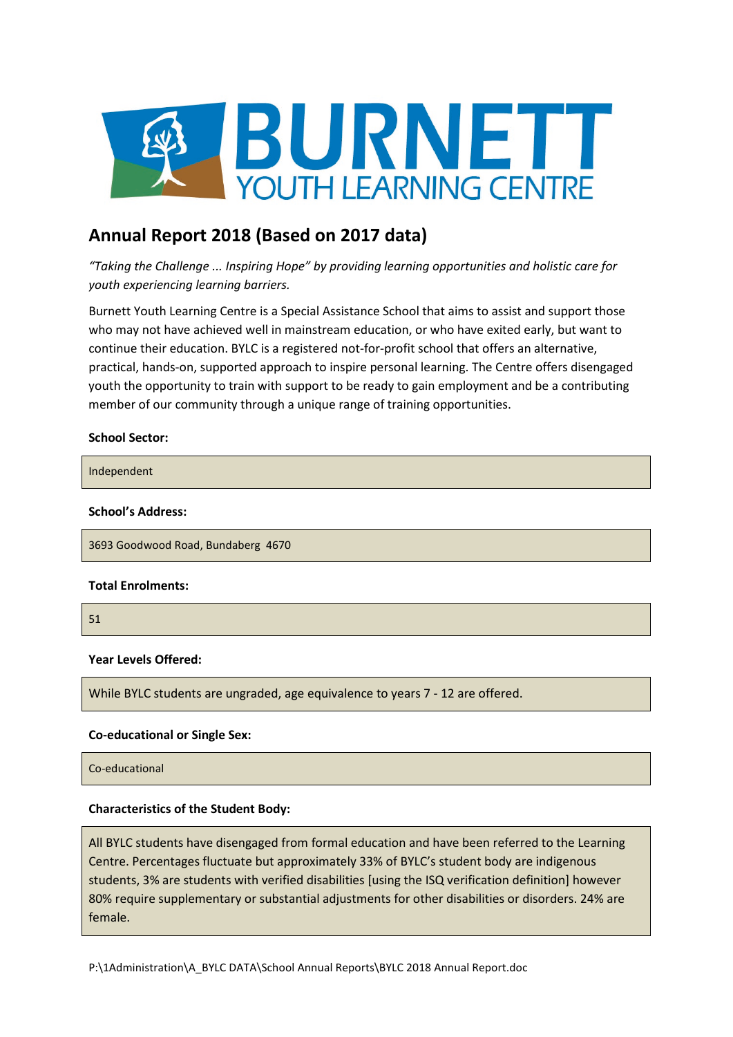

# **Annual Report 2018 (Based on 2017 data)**

*"Taking the Challenge ... Inspiring Hope" by providing learning opportunities and holistic care for youth experiencing learning barriers.*

Burnett Youth Learning Centre is a Special Assistance School that aims to assist and support those who may not have achieved well in mainstream education, or who have exited early, but want to continue their education. BYLC is a registered not-for-profit school that offers an alternative, practical, hands-on, supported approach to inspire personal learning. The Centre offers disengaged youth the opportunity to train with support to be ready to gain employment and be a contributing member of our community through a unique range of training opportunities.

### **School Sector:**

Independent

#### **School's Address:**

3693 Goodwood Road, Bundaberg 4670

#### **Total Enrolments:**

51

# **Year Levels Offered:**

While BYLC students are ungraded, age equivalence to years 7 - 12 are offered.

#### **Co-educational or Single Sex:**

Co-educational

# **Characteristics of the Student Body:**

All BYLC students have disengaged from formal education and have been referred to the Learning Centre. Percentages fluctuate but approximately 33% of BYLC's student body are indigenous students, 3% are students with verified disabilities [using the ISQ verification definition] however 80% require supplementary or substantial adjustments for other disabilities or disorders. 24% are female.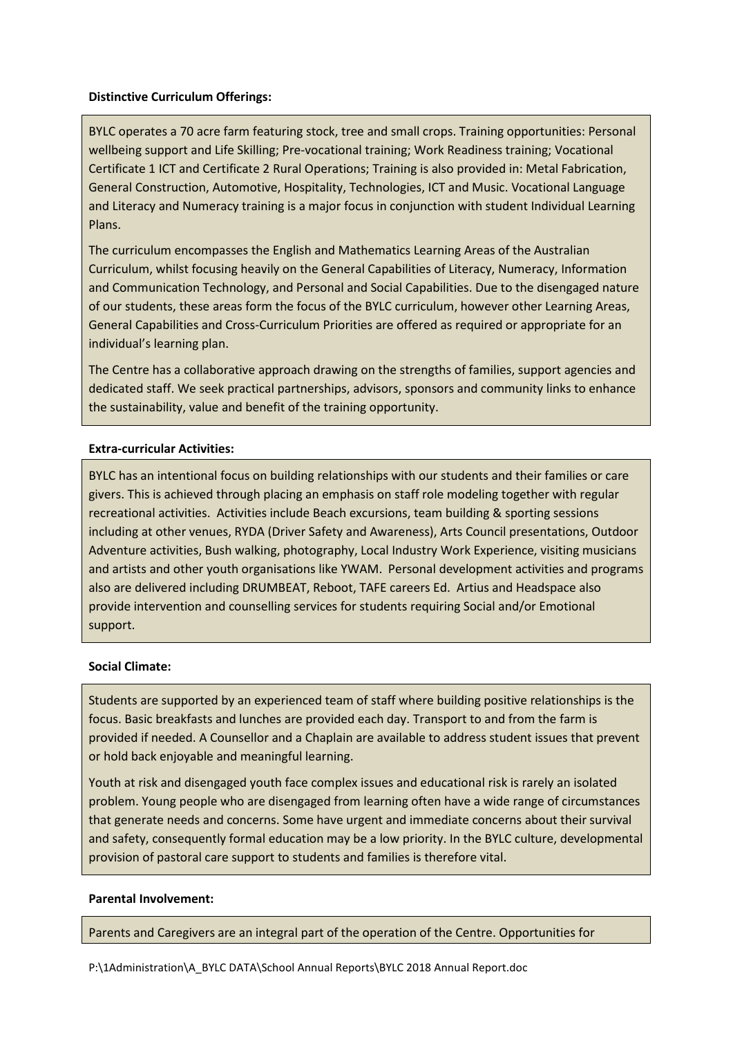# **Distinctive Curriculum Offerings:**

BYLC operates a 70 acre farm featuring stock, tree and small crops. Training opportunities: Personal wellbeing support and Life Skilling; Pre-vocational training; Work Readiness training; Vocational Certificate 1 ICT and Certificate 2 Rural Operations; Training is also provided in: Metal Fabrication, General Construction, Automotive, Hospitality, Technologies, ICT and Music. Vocational Language and Literacy and Numeracy training is a major focus in conjunction with student Individual Learning Plans.

The curriculum encompasses the English and Mathematics Learning Areas of the Australian Curriculum, whilst focusing heavily on the General Capabilities of Literacy, Numeracy, Information and Communication Technology, and Personal and Social Capabilities. Due to the disengaged nature of our students, these areas form the focus of the BYLC curriculum, however other Learning Areas, General Capabilities and Cross-Curriculum Priorities are offered as required or appropriate for an individual's learning plan.

The Centre has a collaborative approach drawing on the strengths of families, support agencies and dedicated staff. We seek practical partnerships, advisors, sponsors and community links to enhance the sustainability, value and benefit of the training opportunity.

# **Extra-curricular Activities:**

BYLC has an intentional focus on building relationships with our students and their families or care givers. This is achieved through placing an emphasis on staff role modeling together with regular recreational activities. Activities include Beach excursions, team building & sporting sessions including at other venues, RYDA (Driver Safety and Awareness), Arts Council presentations, Outdoor Adventure activities, Bush walking, photography, Local Industry Work Experience, visiting musicians and artists and other youth organisations like YWAM. Personal development activities and programs also are delivered including DRUMBEAT, Reboot, TAFE careers Ed. Artius and Headspace also provide intervention and counselling services for students requiring Social and/or Emotional support.

# **Social Climate:**

Students are supported by an experienced team of staff where building positive relationships is the focus. Basic breakfasts and lunches are provided each day. Transport to and from the farm is provided if needed. A Counsellor and a Chaplain are available to address student issues that prevent or hold back enjoyable and meaningful learning.

Youth at risk and disengaged youth face complex issues and educational risk is rarely an isolated problem. Young people who are disengaged from learning often have a wide range of circumstances that generate needs and concerns. Some have urgent and immediate concerns about their survival and safety, consequently formal education may be a low priority. In the BYLC culture, developmental provision of pastoral care support to students and families is therefore vital.

# **Parental Involvement:**

Parents and Caregivers are an integral part of the operation of the Centre. Opportunities for

P:\1Administration\A\_BYLC DATA\School Annual Reports\BYLC 2018 Annual Report.doc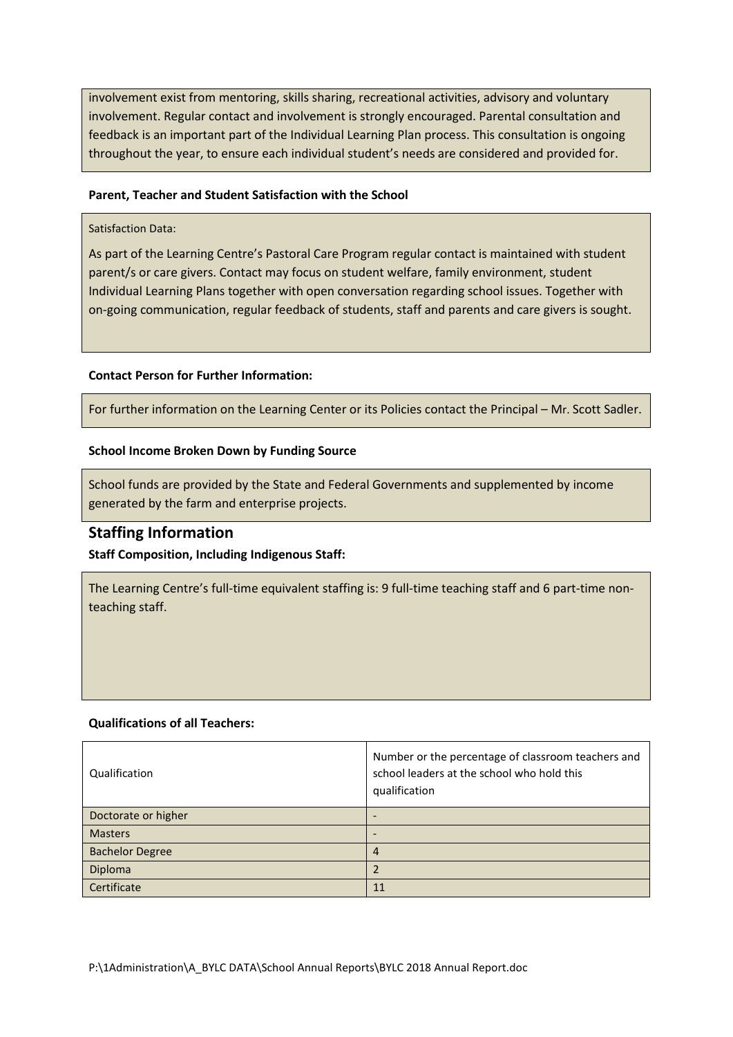involvement exist from mentoring, skills sharing, recreational activities, advisory and voluntary involvement. Regular contact and involvement is strongly encouraged. Parental consultation and feedback is an important part of the Individual Learning Plan process. This consultation is ongoing throughout the year, to ensure each individual student's needs are considered and provided for.

# **Parent, Teacher and Student Satisfaction with the School**

# Satisfaction Data:

As part of the Learning Centre's Pastoral Care Program regular contact is maintained with student parent/s or care givers. Contact may focus on student welfare, family environment, student Individual Learning Plans together with open conversation regarding school issues. Together with on-going communication, regular feedback of students, staff and parents and care givers is sought.

### **Contact Person for Further Information:**

For further information on the Learning Center or its Policies contact the Principal – Mr. Scott Sadler.

### **School Income Broken Down by Funding Source**

School funds are provided by the State and Federal Governments and supplemented by income generated by the farm and enterprise projects.

# **Staffing Information**

# **Staff Composition, Including Indigenous Staff:**

The Learning Centre's full-time equivalent staffing is: 9 full-time teaching staff and 6 part-time nonteaching staff.

#### **Qualifications of all Teachers:**

| Qualification          | Number or the percentage of classroom teachers and<br>school leaders at the school who hold this<br>qualification |
|------------------------|-------------------------------------------------------------------------------------------------------------------|
| Doctorate or higher    | $\qquad \qquad \blacksquare$                                                                                      |
| <b>Masters</b>         |                                                                                                                   |
| <b>Bachelor Degree</b> | $\overline{4}$                                                                                                    |
| Diploma                |                                                                                                                   |
| Certificate            | 11                                                                                                                |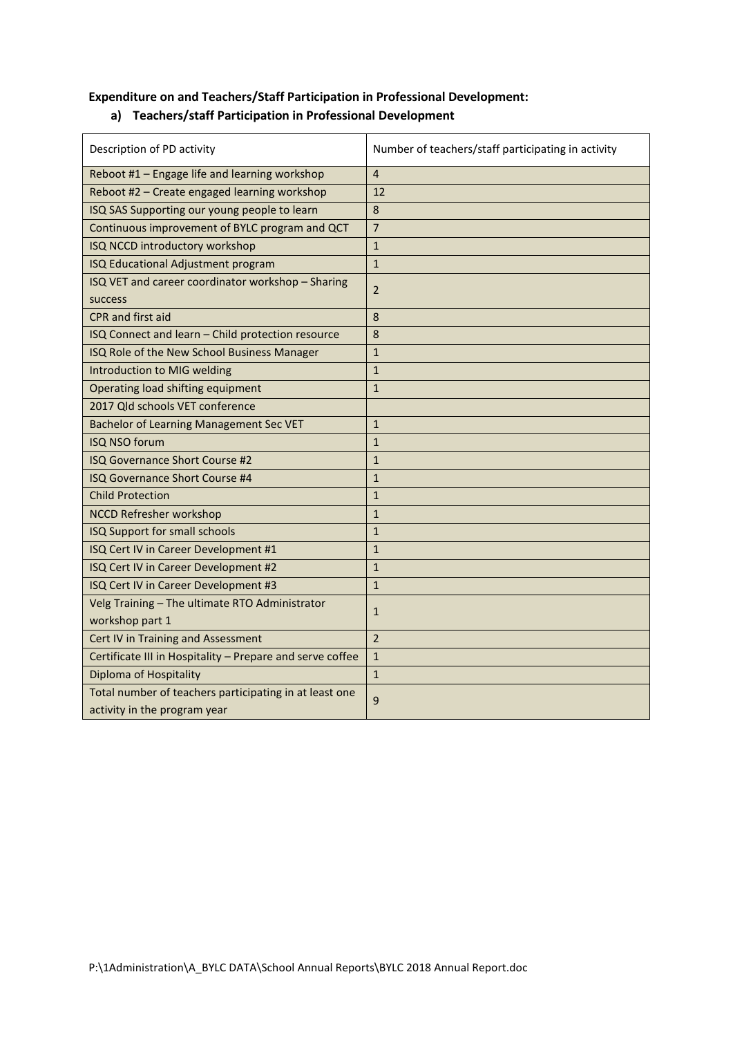# **Expenditure on and Teachers/Staff Participation in Professional Development:**

# **a) Teachers/staff Participation in Professional Development**

| Description of PD activity                                                             | Number of teachers/staff participating in activity |
|----------------------------------------------------------------------------------------|----------------------------------------------------|
| Reboot #1 - Engage life and learning workshop                                          | $\overline{4}$                                     |
| Reboot #2 - Create engaged learning workshop                                           | 12                                                 |
| ISQ SAS Supporting our young people to learn                                           | 8                                                  |
| Continuous improvement of BYLC program and QCT                                         | $\overline{7}$                                     |
| ISQ NCCD introductory workshop                                                         | $\mathbf{1}$                                       |
| ISQ Educational Adjustment program                                                     | $\mathbf{1}$                                       |
| ISQ VET and career coordinator workshop - Sharing<br>success                           | $\overline{2}$                                     |
| CPR and first aid                                                                      | 8                                                  |
| ISQ Connect and learn - Child protection resource                                      | 8                                                  |
| ISQ Role of the New School Business Manager                                            | $\mathbf{1}$                                       |
| Introduction to MIG welding                                                            | $\mathbf{1}$                                       |
| Operating load shifting equipment                                                      | $\mathbf{1}$                                       |
| 2017 Qld schools VET conference                                                        |                                                    |
| <b>Bachelor of Learning Management Sec VET</b>                                         | $\mathbf{1}$                                       |
| <b>ISQ NSO forum</b>                                                                   | $\mathbf{1}$                                       |
| ISQ Governance Short Course #2                                                         | $\mathbf{1}$                                       |
| <b>ISQ Governance Short Course #4</b>                                                  | $\mathbf{1}$                                       |
| <b>Child Protection</b>                                                                | $\mathbf{1}$                                       |
| <b>NCCD Refresher workshop</b>                                                         | $\mathbf{1}$                                       |
| ISQ Support for small schools                                                          | $\mathbf{1}$                                       |
| ISQ Cert IV in Career Development #1                                                   | $\mathbf{1}$                                       |
| ISQ Cert IV in Career Development #2                                                   | $\mathbf{1}$                                       |
| ISQ Cert IV in Career Development #3                                                   | $\mathbf{1}$                                       |
| Velg Training - The ultimate RTO Administrator<br>workshop part 1                      | $\mathbf{1}$                                       |
| Cert IV in Training and Assessment                                                     | $\overline{2}$                                     |
| Certificate III in Hospitality - Prepare and serve coffee                              | $\mathbf{1}$                                       |
| <b>Diploma of Hospitality</b>                                                          | $\mathbf{1}$                                       |
| Total number of teachers participating in at least one<br>activity in the program year | 9                                                  |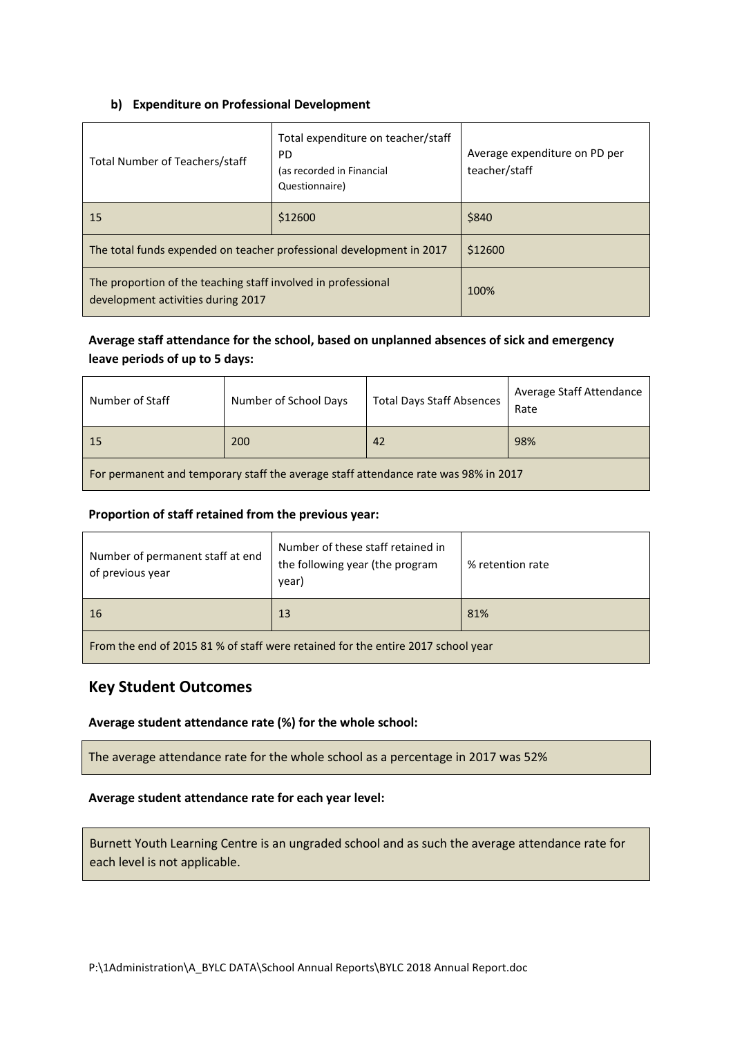# **b) Expenditure on Professional Development**

| Total Number of Teachers/staff                                                                      | Total expenditure on teacher/staff<br>PD<br>(as recorded in Financial<br>Questionnaire) | Average expenditure on PD per<br>teacher/staff |
|-----------------------------------------------------------------------------------------------------|-----------------------------------------------------------------------------------------|------------------------------------------------|
| 15                                                                                                  | \$12600                                                                                 | \$840                                          |
| The total funds expended on teacher professional development in 2017                                |                                                                                         | \$12600                                        |
| The proportion of the teaching staff involved in professional<br>development activities during 2017 |                                                                                         | 100%                                           |

# **Average staff attendance for the school, based on unplanned absences of sick and emergency leave periods of up to 5 days:**

| Number of Staff                                                                     | Number of School Days | <b>Total Days Staff Absences</b> | Average Staff Attendance<br>Rate |
|-------------------------------------------------------------------------------------|-----------------------|----------------------------------|----------------------------------|
| 15                                                                                  | 200                   | 42                               | 98%                              |
| For permanent and temporary staff the average staff attendance rate was 98% in 2017 |                       |                                  |                                  |

# **Proportion of staff retained from the previous year:**

| Number of permanent staff at end<br>of previous year                             | Number of these staff retained in<br>the following year (the program<br>year) | % retention rate |
|----------------------------------------------------------------------------------|-------------------------------------------------------------------------------|------------------|
| 16                                                                               | 13                                                                            | 81%              |
| From the end of 2015 81 % of staff were retained for the entire 2017 school year |                                                                               |                  |

# **Key Student Outcomes**

# **Average student attendance rate (%) for the whole school:**

The average attendance rate for the whole school as a percentage in 2017 was 52%

# **Average student attendance rate for each year level:**

Burnett Youth Learning Centre is an ungraded school and as such the average attendance rate for each level is not applicable.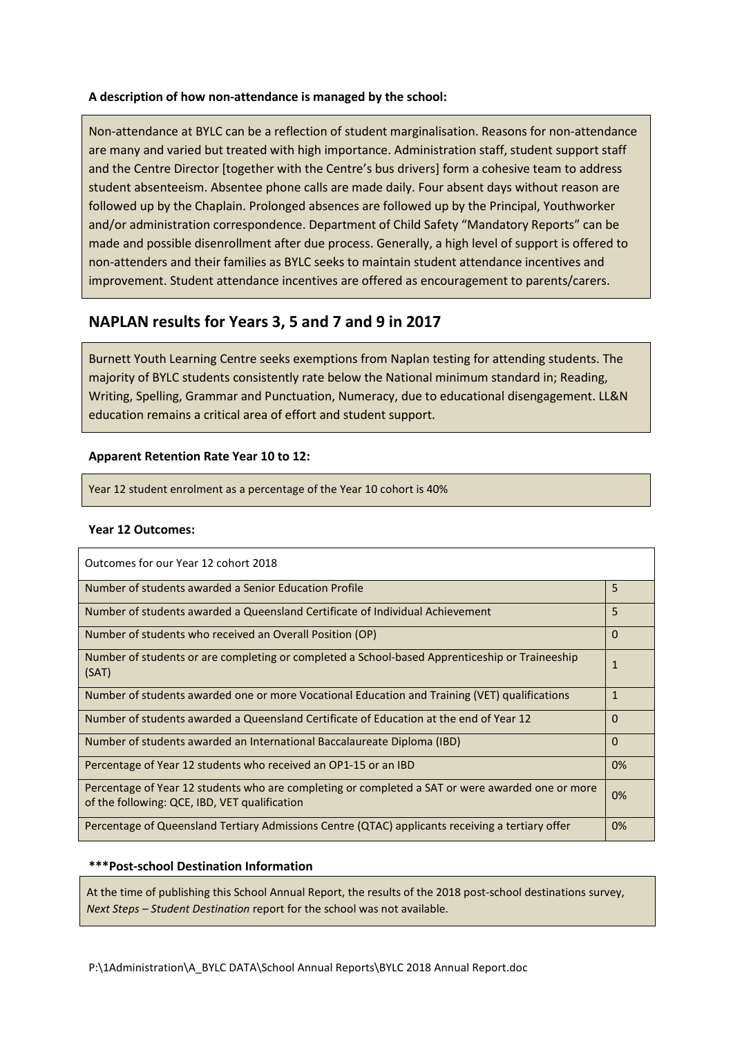### **A description of how non-attendance is managed by the school:**

Non-attendance at BYLC can be a reflection of student marginalisation. Reasons for non-attendance are many and varied but treated with high importance. Administration staff, student support staff and the Centre Director [together with the Centre's bus drivers] form a cohesive team to address student absenteeism. Absentee phone calls are made daily. Four absent days without reason are followed up by the Chaplain. Prolonged absences are followed up by the Principal, Youthworker and/or administration correspondence. Department of Child Safety "Mandatory Reports" can be made and possible disenrollment after due process. Generally, a high level of support is offered to non-attenders and their families as BYLC seeks to maintain student attendance incentives and improvement. Student attendance incentives are offered as encouragement to parents/carers.

# **NAPLAN results for Years 3, 5 and 7 and 9 in 2017**

Burnett Youth Learning Centre seeks exemptions from Naplan testing for attending students. The majority of BYLC students consistently rate below the National minimum standard in; Reading, Writing, Spelling, Grammar and Punctuation, Numeracy, due to educational disengagement. LL&N education remains a critical area of effort and student support.

# **Apparent Retention Rate Year 10 to 12:**

Year 12 student enrolment as a percentage of the Year 10 cohort is 40%

# **Year 12 Outcomes:**

| Outcomes for our Year 12 cohort 2018                                                                                                              |              |
|---------------------------------------------------------------------------------------------------------------------------------------------------|--------------|
| Number of students awarded a Senior Education Profile                                                                                             | 5            |
| Number of students awarded a Queensland Certificate of Individual Achievement                                                                     | 5            |
| Number of students who received an Overall Position (OP)                                                                                          | $\Omega$     |
| Number of students or are completing or completed a School-based Apprenticeship or Traineeship<br>(SAT)                                           | $\mathbf{1}$ |
| Number of students awarded one or more Vocational Education and Training (VET) qualifications                                                     | $\mathbf{1}$ |
| Number of students awarded a Queensland Certificate of Education at the end of Year 12                                                            | $\Omega$     |
| Number of students awarded an International Baccalaureate Diploma (IBD)                                                                           | $\Omega$     |
| Percentage of Year 12 students who received an OP1-15 or an IBD                                                                                   | 0%           |
| Percentage of Year 12 students who are completing or completed a SAT or were awarded one or more<br>of the following: QCE, IBD, VET qualification | 0%           |
| Percentage of Queensland Tertiary Admissions Centre (QTAC) applicants receiving a tertiary offer                                                  | 0%           |

# **\*\*\*Post-school Destination Information**

At the time of publishing this School Annual Report, the results of the 2018 post-school destinations survey, *Next Steps – Student Destination* report for the school was not available.